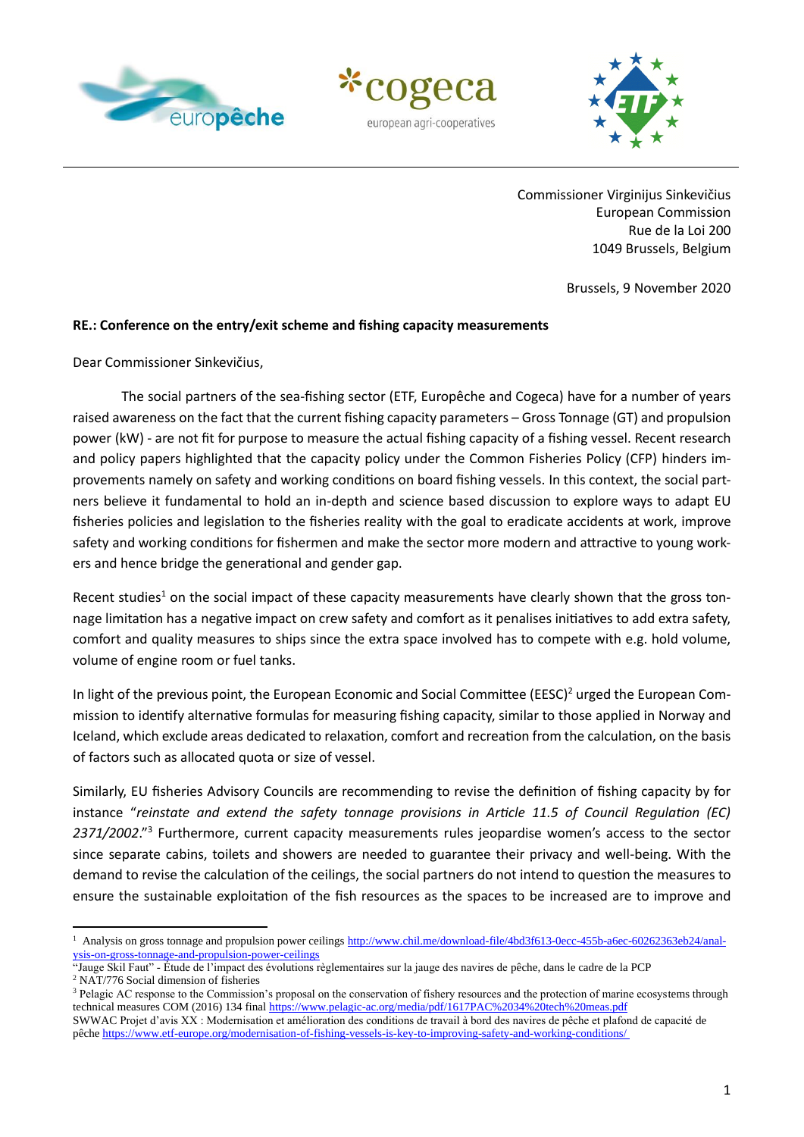





 Commissioner Virginijus Sinkevičius European Commission Rue de la Loi 200 1049 Brussels, Belgium

Brussels, 9 November 2020

## **RE.: Conference on the entry/exit scheme and fishing capacity measurements**

Dear Commissioner Sinkevičius,

The social partners of the sea-fishing sector (ETF, Europêche and Cogeca) have for a number of years raised awareness on the fact that the current fishing capacity parameters – Gross Tonnage (GT) and propulsion power (kW) - are not fit for purpose to measure the actual fishing capacity of a fishing vessel. Recent research and policy papers highlighted that the capacity policy under the Common Fisheries Policy (CFP) hinders improvements namely on safety and working conditions on board fishing vessels. In this context, the social partners believe it fundamental to hold an in-depth and science based discussion to explore ways to adapt EU fisheries policies and legislation to the fisheries reality with the goal to eradicate accidents at work, improve safety and working conditions for fishermen and make the sector more modern and attractive to young workers and hence bridge the generational and gender gap.

Recent studies<sup>1</sup> on the social impact of these capacity measurements have clearly shown that the gross tonnage limitation has a negative impact on crew safety and comfort as it penalises initiatives to add extra safety, comfort and quality measures to ships since the extra space involved has to compete with e.g. hold volume, volume of engine room or fuel tanks.

In light of the previous point, the European Economic and Social Committee (EESC)<sup>2</sup> urged the European Commission to identify alternative formulas for measuring fishing capacity, similar to those applied in Norway and Iceland, which exclude areas dedicated to relaxation, comfort and recreation from the calculation, on the basis of factors such as allocated quota or size of vessel.

Similarly, EU fisheries Advisory Councils are recommending to revise the definition of fishing capacity by for instance "*reinstate and extend the safety tonnage provisions in Article 11.5 of Council Regulation (EC)*  2371/2002."<sup>3</sup> Furthermore, current capacity measurements rules jeopardise women's access to the sector since separate cabins, toilets and showers are needed to guarantee their privacy and well-being. With the demand to revise the calculation of the ceilings, the social partners do not intend to question the measures to ensure the sustainable exploitation of the fish resources as the spaces to be increased are to improve and

<sup>&</sup>lt;sup>1</sup> Analysis on gross tonnage and propulsion power ceiling[s http://www.chil.me/download-file/4bd3f613-0ecc-455b-a6ec-60262363eb24/anal](http://www.chil.me/download-file/4bd3f613-0ecc-455b-a6ec-60262363eb24/analysis-on-gross-tonnage-and-propulsion-power-ceilings)[ysis-on-gross-tonnage-and-propulsion-power-ceilings](http://www.chil.me/download-file/4bd3f613-0ecc-455b-a6ec-60262363eb24/analysis-on-gross-tonnage-and-propulsion-power-ceilings)

<sup>&</sup>quot;Jauge Skil Faut" - Étude de l'impact des évolutions règlementaires sur la jauge des navires de pêche, dans le cadre de la PCP <sup>2</sup> NAT/776 Social dimension of fisheries

<sup>&</sup>lt;sup>3</sup> Pelagic AC response to the Commission's proposal on the conservation of fishery resources and the protection of marine ecosystems through technical measures COM (2016) 134 fina[l https://www.pelagic-ac.org/media/pdf/1617PAC%2034%20tech%20meas.pdf](https://www.pelagic-ac.org/media/pdf/1617PAC%2034%20tech%20meas.pdf)

SWWAC Projet d'avis XX : Modernisation et amélioration des conditions de travail à bord des navires de pêche et plafond de capacité de pêche<https://www.etf-europe.org/modernisation-of-fishing-vessels-is-key-to-improving-safety-and-working-conditions/>